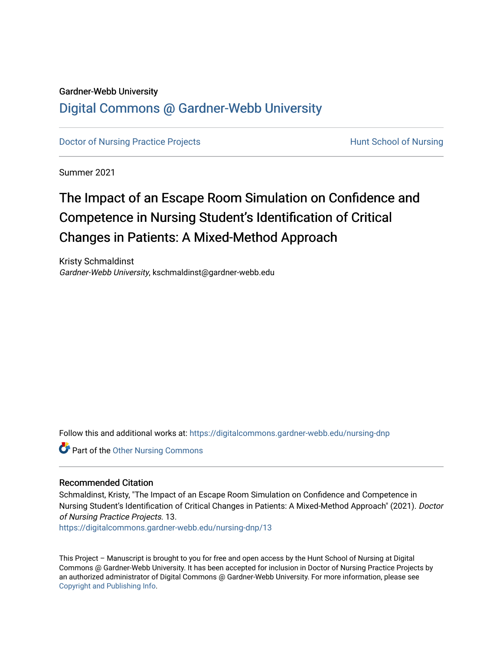#### Gardner-Webb University

# [Digital Commons @ Gardner-Webb University](https://digitalcommons.gardner-webb.edu/)

[Doctor of Nursing Practice Projects](https://digitalcommons.gardner-webb.edu/nursing-dnp) **Hunt School of Nursing** 

Summer 2021

# The Impact of an Escape Room Simulation on Confidence and Competence in Nursing Student's Identification of Critical Changes in Patients: A Mixed-Method Approach

Kristy Schmaldinst Gardner-Webb University, kschmaldinst@gardner-webb.edu

Follow this and additional works at: [https://digitalcommons.gardner-webb.edu/nursing-dnp](https://digitalcommons.gardner-webb.edu/nursing-dnp?utm_source=digitalcommons.gardner-webb.edu%2Fnursing-dnp%2F13&utm_medium=PDF&utm_campaign=PDFCoverPages) 

**Part of the [Other Nursing Commons](http://network.bepress.com/hgg/discipline/729?utm_source=digitalcommons.gardner-webb.edu%2Fnursing-dnp%2F13&utm_medium=PDF&utm_campaign=PDFCoverPages)** 

### Recommended Citation

Schmaldinst, Kristy, "The Impact of an Escape Room Simulation on Confidence and Competence in Nursing Student's Identification of Critical Changes in Patients: A Mixed-Method Approach" (2021). Doctor of Nursing Practice Projects. 13.

[https://digitalcommons.gardner-webb.edu/nursing-dnp/13](https://digitalcommons.gardner-webb.edu/nursing-dnp/13?utm_source=digitalcommons.gardner-webb.edu%2Fnursing-dnp%2F13&utm_medium=PDF&utm_campaign=PDFCoverPages)

This Project – Manuscript is brought to you for free and open access by the Hunt School of Nursing at Digital Commons @ Gardner-Webb University. It has been accepted for inclusion in Doctor of Nursing Practice Projects by an authorized administrator of Digital Commons @ Gardner-Webb University. For more information, please see [Copyright and Publishing Info.](https://digitalcommons.gardner-webb.edu/copyright_publishing.html)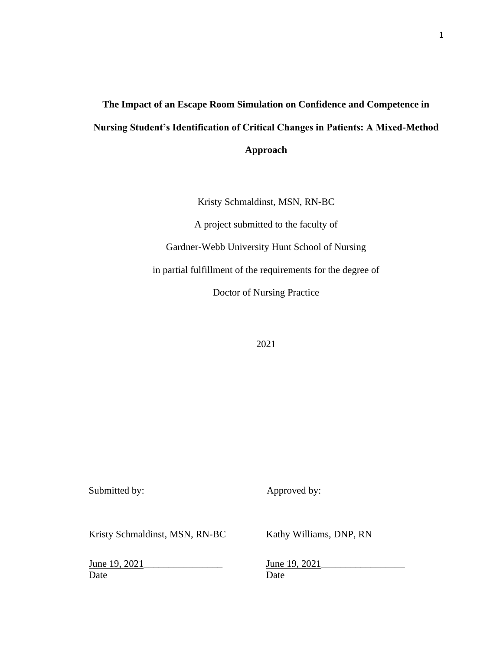# **The Impact of an Escape Room Simulation on Confidence and Competence in Nursing Student's Identification of Critical Changes in Patients: A Mixed-Method Approach**

Kristy Schmaldinst, MSN, RN-BC

A project submitted to the faculty of

Gardner-Webb University Hunt School of Nursing

in partial fulfillment of the requirements for the degree of

Doctor of Nursing Practice

2021

Submitted by: Approved by:

Kristy Schmaldinst, MSN, RN-BC Kathy Williams, DNP, RN

June 19, 2021 June 19, 2021 Date Date Date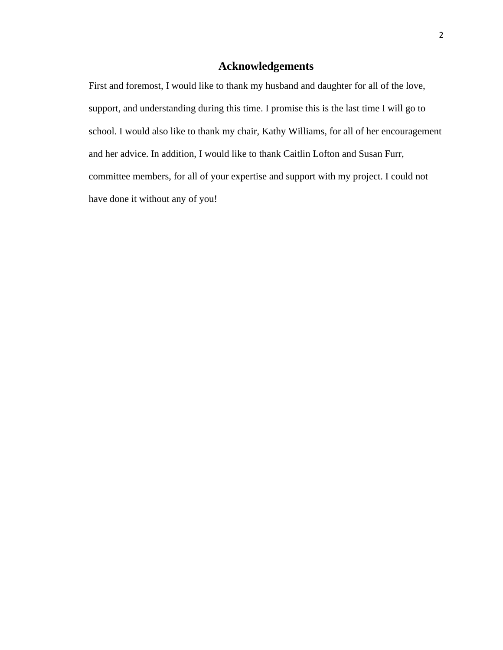# **Acknowledgements**

First and foremost, I would like to thank my husband and daughter for all of the love, support, and understanding during this time. I promise this is the last time I will go to school. I would also like to thank my chair, Kathy Williams, for all of her encouragement and her advice. In addition, I would like to thank Caitlin Lofton and Susan Furr, committee members, for all of your expertise and support with my project. I could not have done it without any of you!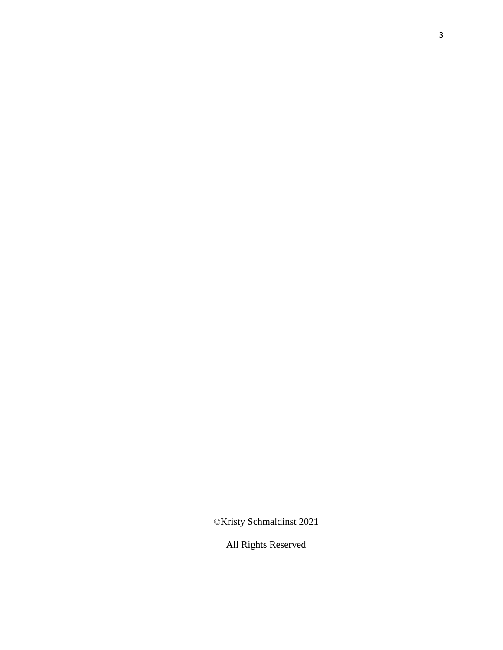©Kristy Schmaldinst 2021

All Rights Reserved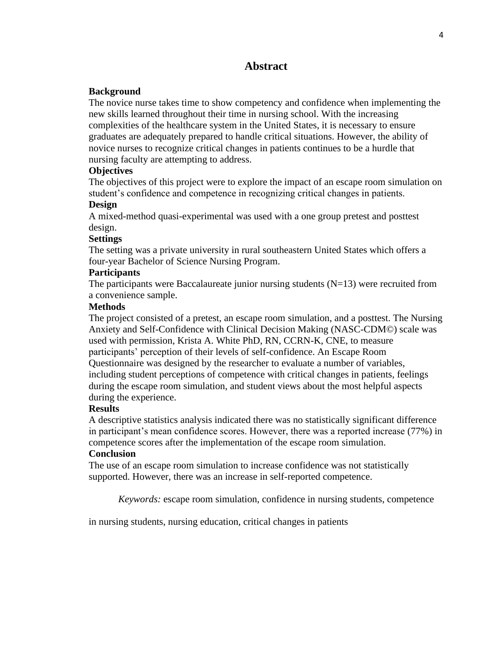# **Abstract**

# **Background**

The novice nurse takes time to show competency and confidence when implementing the new skills learned throughout their time in nursing school. With the increasing complexities of the healthcare system in the United States, it is necessary to ensure graduates are adequately prepared to handle critical situations. However, the ability of novice nurses to recognize critical changes in patients continues to be a hurdle that nursing faculty are attempting to address.

# **Objectives**

The objectives of this project were to explore the impact of an escape room simulation on student's confidence and competence in recognizing critical changes in patients.

# **Design**

A mixed-method quasi-experimental was used with a one group pretest and posttest design.

# **Settings**

The setting was a private university in rural southeastern United States which offers a four-year Bachelor of Science Nursing Program.

# **Participants**

The participants were Baccalaureate junior nursing students  $(N=13)$  were recruited from a convenience sample.

# **Methods**

The project consisted of a pretest, an escape room simulation, and a posttest. The Nursing Anxiety and Self-Confidence with Clinical Decision Making (NASC-CDM©) scale was used with permission, Krista A. White PhD, RN, CCRN-K, CNE, to measure participants' perception of their levels of self-confidence. An Escape Room Questionnaire was designed by the researcher to evaluate a number of variables, including student perceptions of competence with critical changes in patients, feelings during the escape room simulation, and student views about the most helpful aspects during the experience.

# **Results**

A descriptive statistics analysis indicated there was no statistically significant difference in participant's mean confidence scores. However, there was a reported increase (77%) in competence scores after the implementation of the escape room simulation.

# **Conclusion**

The use of an escape room simulation to increase confidence was not statistically supported. However, there was an increase in self-reported competence.

*Keywords:* escape room simulation, confidence in nursing students, competence

in nursing students, nursing education, critical changes in patients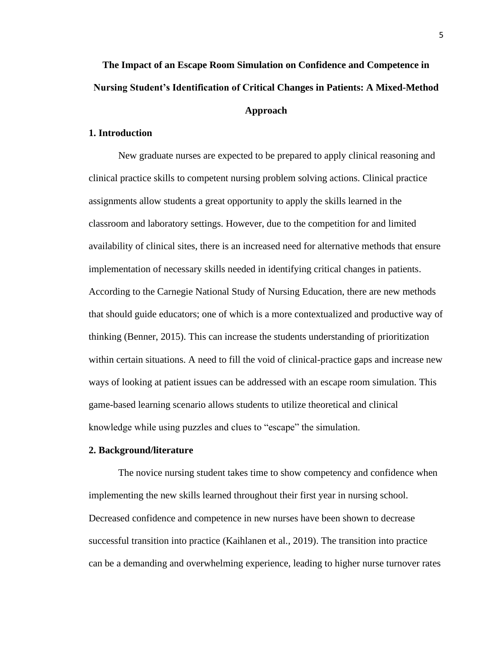# **The Impact of an Escape Room Simulation on Confidence and Competence in Nursing Student's Identification of Critical Changes in Patients: A Mixed-Method Approach**

### **1. Introduction**

New graduate nurses are expected to be prepared to apply clinical reasoning and clinical practice skills to competent nursing problem solving actions. Clinical practice assignments allow students a great opportunity to apply the skills learned in the classroom and laboratory settings. However, due to the competition for and limited availability of clinical sites, there is an increased need for alternative methods that ensure implementation of necessary skills needed in identifying critical changes in patients. According to the Carnegie National Study of Nursing Education, there are new methods that should guide educators; one of which is a more contextualized and productive way of thinking (Benner, 2015). This can increase the students understanding of prioritization within certain situations. A need to fill the void of clinical-practice gaps and increase new ways of looking at patient issues can be addressed with an escape room simulation. This game-based learning scenario allows students to utilize theoretical and clinical knowledge while using puzzles and clues to "escape" the simulation.

#### **2. Background/literature**

The novice nursing student takes time to show competency and confidence when implementing the new skills learned throughout their first year in nursing school. Decreased confidence and competence in new nurses have been shown to decrease successful transition into practice (Kaihlanen et al., 2019). The transition into practice can be a demanding and overwhelming experience, leading to higher nurse turnover rates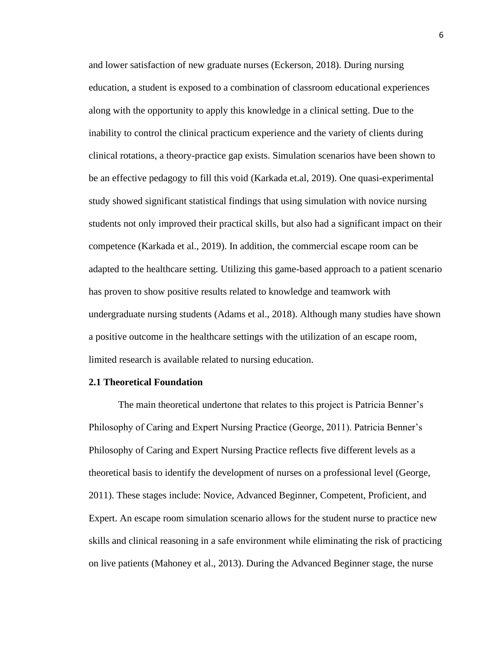and lower satisfaction of new graduate nurses (Eckerson, 2018). During nursing education, a student is exposed to a combination of classroom educational experiences along with the opportunity to apply this knowledge in a clinical setting. Due to the inability to control the clinical practicum experience and the variety of clients during clinical rotations, a theory-practice gap exists. Simulation scenarios have been shown to be an effective pedagogy to fill this void (Karkada et.al, 2019). One quasi-experimental study showed significant statistical findings that using simulation with novice nursing students not only improved their practical skills, but also had a significant impact on their competence (Karkada et al., 2019). In addition, the commercial escape room can be adapted to the healthcare setting. Utilizing this game-based approach to a patient scenario has proven to show positive results related to knowledge and teamwork with undergraduate nursing students (Adams et al., 2018). Although many studies have shown a positive outcome in the healthcare settings with the utilization of an escape room, limited research is available related to nursing education.

#### **2.1 Theoretical Foundation**

The main theoretical undertone that relates to this project is Patricia Benner's Philosophy of Caring and Expert Nursing Practice (George, 2011). Patricia Benner's Philosophy of Caring and Expert Nursing Practice reflects five different levels as a theoretical basis to identify the development of nurses on a professional level (George, 2011). These stages include: Novice, Advanced Beginner, Competent, Proficient, and Expert. An escape room simulation scenario allows for the student nurse to practice new skills and clinical reasoning in a safe environment while eliminating the risk of practicing on live patients (Mahoney et al., 2013). During the Advanced Beginner stage, the nurse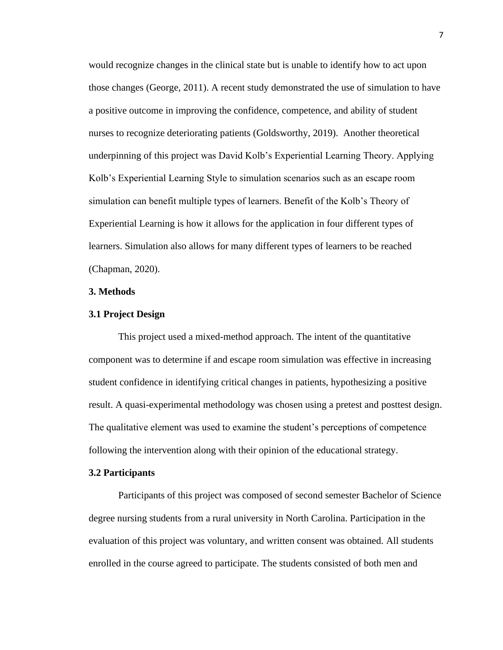would recognize changes in the clinical state but is unable to identify how to act upon those changes (George, 2011). A recent study demonstrated the use of simulation to have a positive outcome in improving the confidence, competence, and ability of student nurses to recognize deteriorating patients (Goldsworthy, 2019). Another theoretical underpinning of this project was David Kolb's Experiential Learning Theory. Applying Kolb's Experiential Learning Style to simulation scenarios such as an escape room simulation can benefit multiple types of learners. Benefit of the Kolb's Theory of Experiential Learning is how it allows for the application in four different types of learners. Simulation also allows for many different types of learners to be reached (Chapman, 2020).

#### **3. Methods**

#### **3.1 Project Design**

This project used a mixed-method approach. The intent of the quantitative component was to determine if and escape room simulation was effective in increasing student confidence in identifying critical changes in patients, hypothesizing a positive result. A quasi-experimental methodology was chosen using a pretest and posttest design. The qualitative element was used to examine the student's perceptions of competence following the intervention along with their opinion of the educational strategy.

#### **3.2 Participants**

Participants of this project was composed of second semester Bachelor of Science degree nursing students from a rural university in North Carolina. Participation in the evaluation of this project was voluntary, and written consent was obtained. All students enrolled in the course agreed to participate. The students consisted of both men and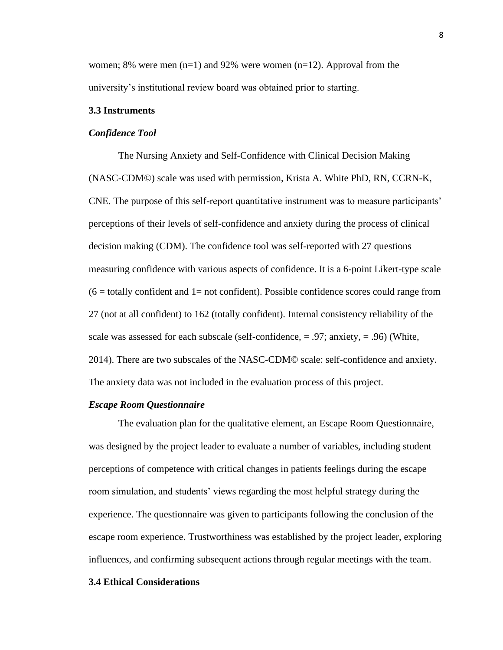women; 8% were men  $(n=1)$  and 92% were women  $(n=12)$ . Approval from the university's institutional review board was obtained prior to starting.

#### **3.3 Instruments**

#### *Confidence Tool*

The Nursing Anxiety and Self-Confidence with Clinical Decision Making (NASC-CDM©) scale was used with permission, Krista A. White PhD, RN, CCRN-K, CNE. The purpose of this self-report quantitative instrument was to measure participants' perceptions of their levels of self-confidence and anxiety during the process of clinical decision making (CDM). The confidence tool was self-reported with 27 questions measuring confidence with various aspects of confidence. It is a 6-point Likert-type scale  $(6 =$  totally confident and 1= not confident). Possible confidence scores could range from 27 (not at all confident) to 162 (totally confident). Internal consistency reliability of the scale was assessed for each subscale (self-confidence,  $= .97$ ; anxiety,  $= .96$ ) (White, 2014). There are two subscales of the NASC-CDM© scale: self-confidence and anxiety. The anxiety data was not included in the evaluation process of this project.

#### *Escape Room Questionnaire*

The evaluation plan for the qualitative element, an Escape Room Questionnaire, was designed by the project leader to evaluate a number of variables, including student perceptions of competence with critical changes in patients feelings during the escape room simulation, and students' views regarding the most helpful strategy during the experience. The questionnaire was given to participants following the conclusion of the escape room experience. Trustworthiness was established by the project leader, exploring influences, and confirming subsequent actions through regular meetings with the team.

#### **3.4 Ethical Considerations**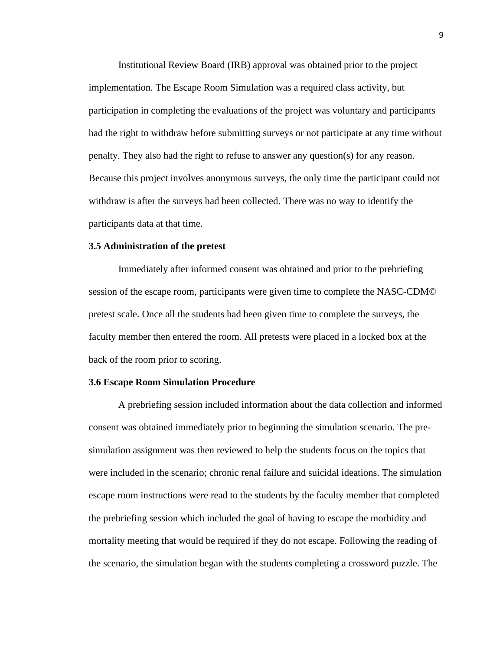Institutional Review Board (IRB) approval was obtained prior to the project implementation. The Escape Room Simulation was a required class activity, but participation in completing the evaluations of the project was voluntary and participants had the right to withdraw before submitting surveys or not participate at any time without penalty. They also had the right to refuse to answer any question(s) for any reason. Because this project involves anonymous surveys, the only time the participant could not withdraw is after the surveys had been collected. There was no way to identify the participants data at that time.

#### **3.5 Administration of the pretest**

Immediately after informed consent was obtained and prior to the prebriefing session of the escape room, participants were given time to complete the NASC-CDM© pretest scale. Once all the students had been given time to complete the surveys, the faculty member then entered the room. All pretests were placed in a locked box at the back of the room prior to scoring.

#### **3.6 Escape Room Simulation Procedure**

A prebriefing session included information about the data collection and informed consent was obtained immediately prior to beginning the simulation scenario. The presimulation assignment was then reviewed to help the students focus on the topics that were included in the scenario; chronic renal failure and suicidal ideations. The simulation escape room instructions were read to the students by the faculty member that completed the prebriefing session which included the goal of having to escape the morbidity and mortality meeting that would be required if they do not escape. Following the reading of the scenario, the simulation began with the students completing a crossword puzzle. The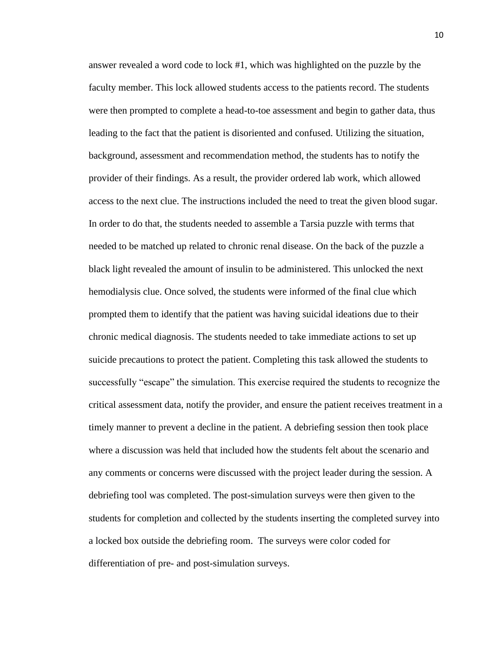answer revealed a word code to lock #1, which was highlighted on the puzzle by the faculty member. This lock allowed students access to the patients record. The students were then prompted to complete a head-to-toe assessment and begin to gather data, thus leading to the fact that the patient is disoriented and confused. Utilizing the situation, background, assessment and recommendation method, the students has to notify the provider of their findings. As a result, the provider ordered lab work, which allowed access to the next clue. The instructions included the need to treat the given blood sugar. In order to do that, the students needed to assemble a Tarsia puzzle with terms that needed to be matched up related to chronic renal disease. On the back of the puzzle a black light revealed the amount of insulin to be administered. This unlocked the next hemodialysis clue. Once solved, the students were informed of the final clue which prompted them to identify that the patient was having suicidal ideations due to their chronic medical diagnosis. The students needed to take immediate actions to set up suicide precautions to protect the patient. Completing this task allowed the students to successfully "escape" the simulation. This exercise required the students to recognize the critical assessment data, notify the provider, and ensure the patient receives treatment in a timely manner to prevent a decline in the patient. A debriefing session then took place where a discussion was held that included how the students felt about the scenario and any comments or concerns were discussed with the project leader during the session. A debriefing tool was completed. The post-simulation surveys were then given to the students for completion and collected by the students inserting the completed survey into a locked box outside the debriefing room. The surveys were color coded for differentiation of pre- and post-simulation surveys.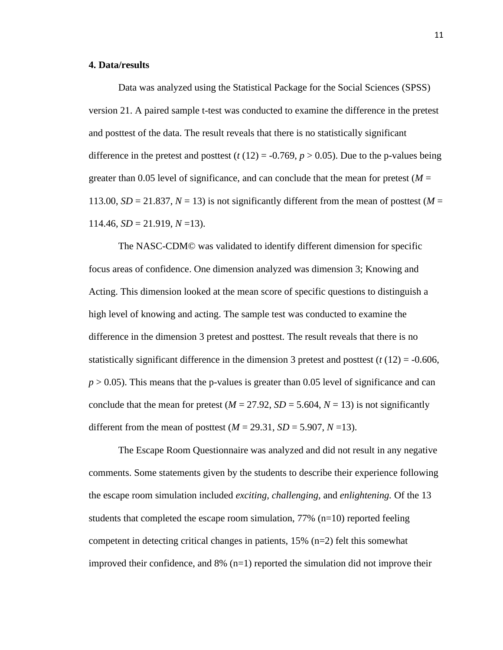#### **4. Data/results**

Data was analyzed using the Statistical Package for the Social Sciences (SPSS) version 21. A paired sample t-test was conducted to examine the difference in the pretest and posttest of the data. The result reveals that there is no statistically significant difference in the pretest and posttest  $(t (12) = -0.769, p > 0.05)$ . Due to the p-values being greater than 0.05 level of significance, and can conclude that the mean for pretest  $(M =$ 113.00,  $SD = 21.837$ ,  $N = 13$ ) is not significantly different from the mean of posttest ( $M =$  $114.46$ ,  $SD = 21.919$ ,  $N = 13$ ).

The NASC-CDM© was validated to identify different dimension for specific focus areas of confidence. One dimension analyzed was dimension 3; Knowing and Acting. This dimension looked at the mean score of specific questions to distinguish a high level of knowing and acting. The sample test was conducted to examine the difference in the dimension 3 pretest and posttest. The result reveals that there is no statistically significant difference in the dimension 3 pretest and posttest  $(t(12) = -0.606$ ,  $p > 0.05$ ). This means that the p-values is greater than 0.05 level of significance and can conclude that the mean for pretest  $(M = 27.92, SD = 5.604, N = 13)$  is not significantly different from the mean of posttest  $(M = 29.31, SD = 5.907, N = 13)$ .

The Escape Room Questionnaire was analyzed and did not result in any negative comments. Some statements given by the students to describe their experience following the escape room simulation included *exciting, challenging,* and *enlightening.* Of the 13 students that completed the escape room simulation,  $77\%$  (n=10) reported feeling competent in detecting critical changes in patients, 15% (n=2) felt this somewhat improved their confidence, and  $8\%$  (n=1) reported the simulation did not improve their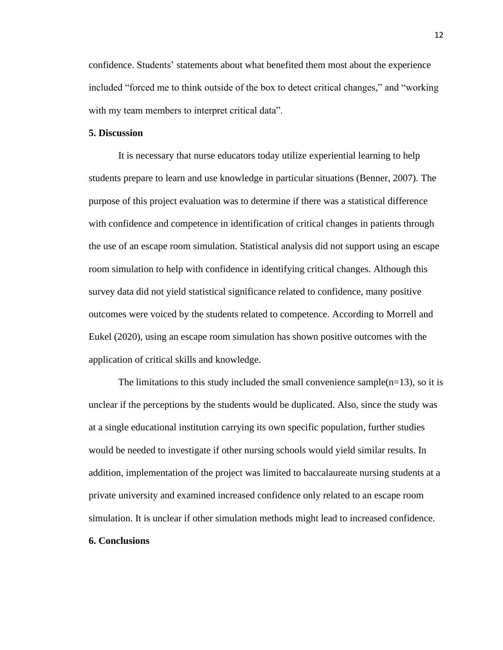confidence. Students' statements about what benefited them most about the experience included "forced me to think outside of the box to detect critical changes," and "working with my team members to interpret critical data".

### **5. Discussion**

It is necessary that nurse educators today utilize experiential learning to help students prepare to learn and use knowledge in particular situations (Benner, 2007). The purpose of this project evaluation was to determine if there was a statistical difference with confidence and competence in identification of critical changes in patients through the use of an escape room simulation. Statistical analysis did not support using an escape room simulation to help with confidence in identifying critical changes. Although this survey data did not yield statistical significance related to confidence, many positive outcomes were voiced by the students related to competence. According to Morrell and Eukel (2020), using an escape room simulation has shown positive outcomes with the application of critical skills and knowledge.

The limitations to this study included the small convenience sample( $n=13$ ), so it is unclear if the perceptions by the students would be duplicated. Also, since the study was at a single educational institution carrying its own specific population, further studies would be needed to investigate if other nursing schools would yield similar results. In addition, implementation of the project was limited to baccalaureate nursing students at a private university and examined increased confidence only related to an escape room simulation. It is unclear if other simulation methods might lead to increased confidence.

# **6. Conclusions**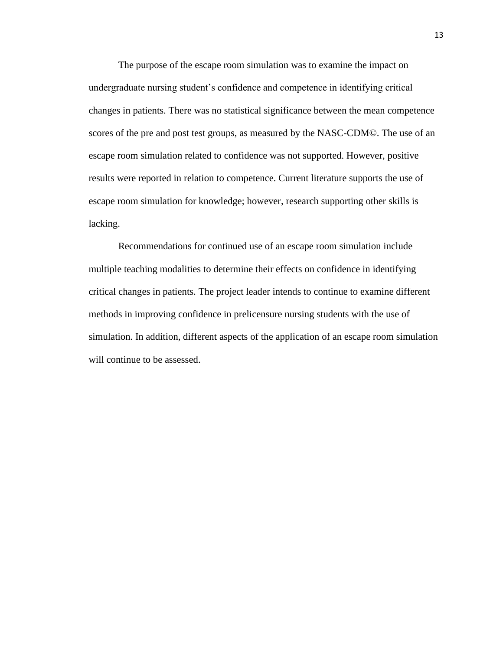The purpose of the escape room simulation was to examine the impact on undergraduate nursing student's confidence and competence in identifying critical changes in patients. There was no statistical significance between the mean competence scores of the pre and post test groups, as measured by the NASC-CDM©. The use of an escape room simulation related to confidence was not supported. However, positive results were reported in relation to competence. Current literature supports the use of escape room simulation for knowledge; however, research supporting other skills is lacking.

Recommendations for continued use of an escape room simulation include multiple teaching modalities to determine their effects on confidence in identifying critical changes in patients. The project leader intends to continue to examine different methods in improving confidence in prelicensure nursing students with the use of simulation. In addition, different aspects of the application of an escape room simulation will continue to be assessed.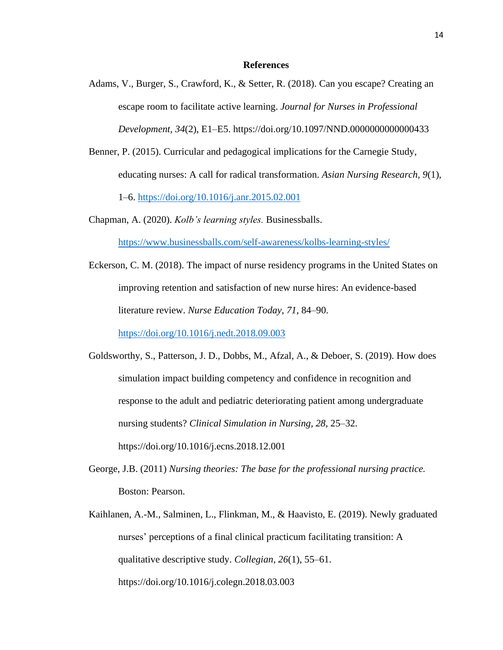#### **References**

- Adams, V., Burger, S., Crawford, K., & Setter, R. (2018). Can you escape? Creating an escape room to facilitate active learning. *Journal for Nurses in Professional Development, 34*(2), E1–E5. https://doi.org/10.1097/NND.0000000000000433
- Benner, P. (2015). Curricular and pedagogical implications for the Carnegie Study, educating nurses: A call for radical transformation. *Asian Nursing Research, 9*(1), 1–6.<https://doi.org/10.1016/j.anr.2015.02.001>
- Chapman, A. (2020). *Kolb's learning styles.* Businessballs.

<https://www.businessballs.com/self-awareness/kolbs-learning-styles/>

Eckerson, C. M. (2018). The impact of nurse residency programs in the United States on improving retention and satisfaction of new nurse hires: An evidence-based literature review. *Nurse Education Today*, *71*, 84–90.

<https://doi.org/10.1016/j.nedt.2018.09.003>

- Goldsworthy, S., Patterson, J. D., Dobbs, M., Afzal, A., & Deboer, S. (2019). How does simulation impact building competency and confidence in recognition and response to the adult and pediatric deteriorating patient among undergraduate nursing students? *Clinical Simulation in Nursing, 28,* 25–32. https://doi.org/10.1016/j.ecns.2018.12.001
- George, J.B. (2011) *Nursing theories: The base for the professional nursing practice.*  Boston: Pearson.
- Kaihlanen, A.-M., Salminen, L., Flinkman, M., & Haavisto, E. (2019). Newly graduated nurses' perceptions of a final clinical practicum facilitating transition: A qualitative descriptive study. *Collegian*, *26*(1), 55–61. https://doi.org/10.1016/j.colegn.2018.03.003